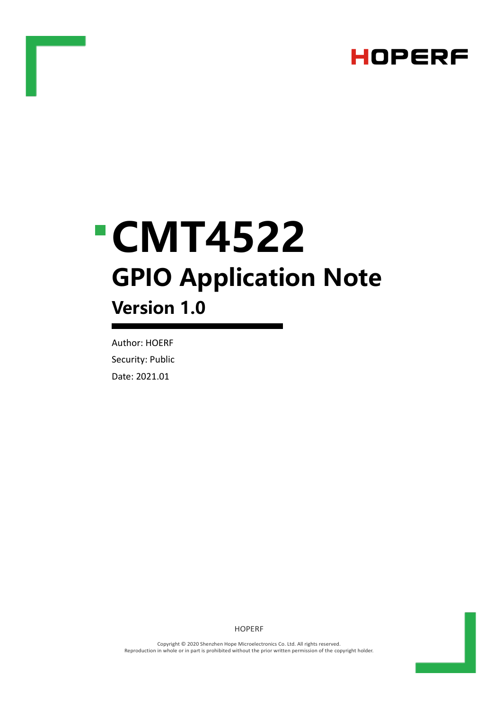

# **CMT4522 GPIO Application Note Version 1.0**

Author: HOERF Security: Public Date: 2021.01

HOPERF

Copyright © 2020 Shenzhen Hope Microelectronics Co. Ltd. All rights reserved. Reproduction in whole or in part is prohibited without the prior written permission of the copyright holder.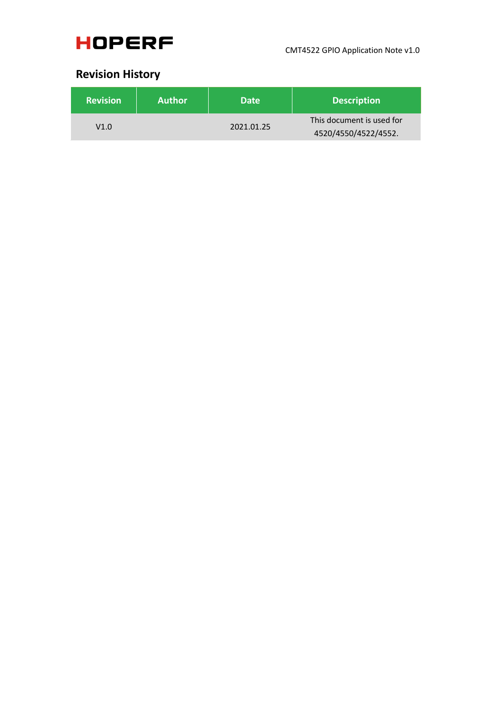

### **Revision History**

| <b>Revision</b> | <b>Author</b> | <b>Date</b> | <b>Description</b>        |
|-----------------|---------------|-------------|---------------------------|
| V1.0            |               | 2021.01.25  | This document is used for |
|                 |               |             | 4520/4550/4522/4552.      |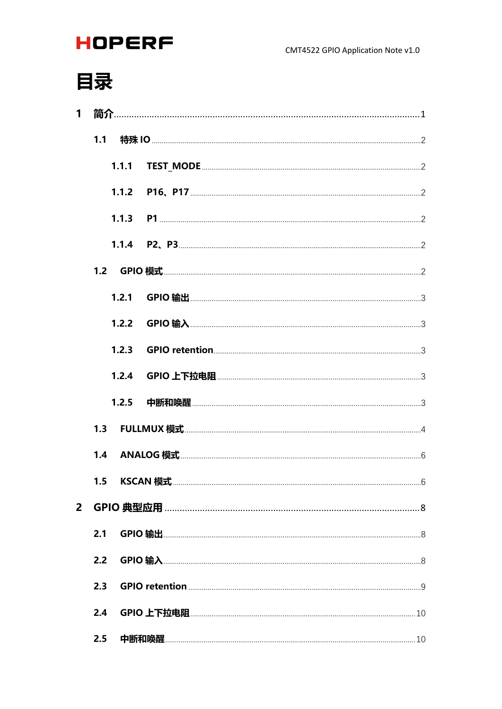# 目录

| 1              |     |  |  |
|----------------|-----|--|--|
|                |     |  |  |
|                |     |  |  |
|                |     |  |  |
|                |     |  |  |
|                |     |  |  |
|                |     |  |  |
|                |     |  |  |
|                |     |  |  |
|                |     |  |  |
|                |     |  |  |
|                |     |  |  |
|                |     |  |  |
|                |     |  |  |
|                |     |  |  |
| $\overline{2}$ |     |  |  |
|                | 2.1 |  |  |
|                | 2.2 |  |  |
|                | 2.3 |  |  |
|                | 2.4 |  |  |
|                | 2.5 |  |  |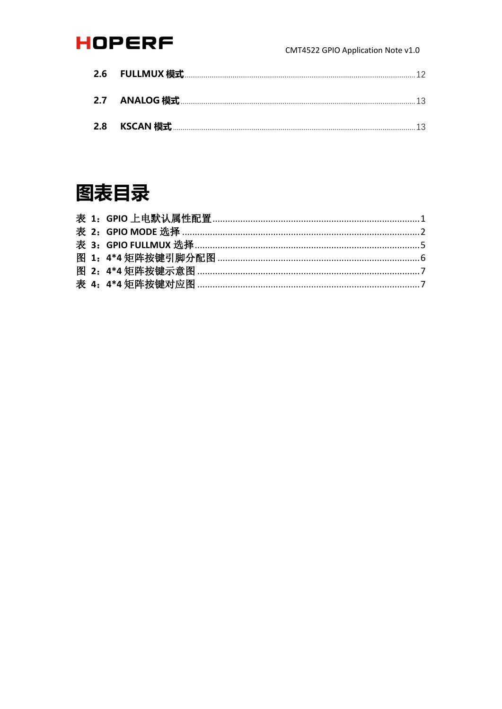#### CMT4522 GPIO Application Note v1.0

# 图表目录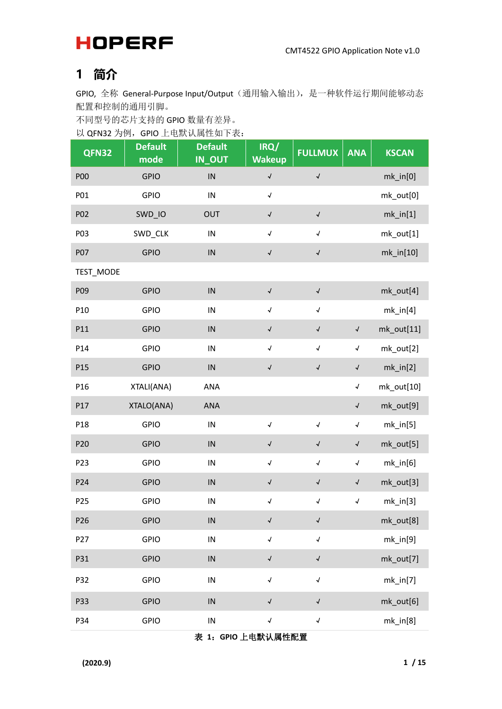### <span id="page-4-0"></span>**1 简介**

GPIO, 全称 General-Purpose Input/Output(通用输入输出), 是一种软件运行期间能够动态 配置和控制的通用引脚。

不同型号的芯片支持的 GPIO 数量有差异。

以 QFN32 为例, GPIO 上电默认属性如下表:

| QFN32           | <b>Default</b><br>mode | <b>Default</b><br>IN_OUT | IRQ/<br><b>Wakeup</b>      | <b>FULLMUX</b>            | <b>ANA</b>                 | <b>KSCAN</b> |
|-----------------|------------------------|--------------------------|----------------------------|---------------------------|----------------------------|--------------|
| <b>P00</b>      | <b>GPIO</b>            | ${\sf IN}$               | $\checkmark$               | $\sqrt{\phantom{a}}$      |                            | $mk_in[0]$   |
| P01             | <b>GPIO</b>            | ${\sf IN}$               | $\sqrt{\phantom{a}}$       |                           |                            | mk_out[0]    |
| P02             | SWD_IO                 | OUT                      | $\boldsymbol{\mathcal{N}}$ | $\boldsymbol{\checkmark}$ |                            | $mk_in[1]$   |
| P03             | SWD_CLK                | ${\sf IN}$               | $\boldsymbol{\mathcal{J}}$ | $\sqrt{ }$                |                            | mk_out[1]    |
| <b>P07</b>      | <b>GPIO</b>            | IN                       | $\checkmark$               | $\blacklozenge$           |                            | $mk_in[10]$  |
| TEST_MODE       |                        |                          |                            |                           |                            |              |
| P09             | <b>GPIO</b>            | $\sf IN$                 | $\boldsymbol{\checkmark}$  | $\blacklozenge$           |                            | mk_out[4]    |
| P10             | <b>GPIO</b>            | IN                       | $\sqrt{ }$                 | $\sqrt{ }$                |                            | $mk_in[4]$   |
| P11             | <b>GPIO</b>            | IN                       | $\checkmark$               | $\checkmark$              | $\boldsymbol{\checkmark}$  | mk_out[11]   |
| P14             | <b>GPIO</b>            | $\sf IN$                 | $\checkmark$               | $\sqrt{\phantom{a}}$      | $\boldsymbol{\mathcal{N}}$ | mk_out[2]    |
| P15             | <b>GPIO</b>            | IN                       | $\boldsymbol{\checkmark}$  | $\boldsymbol{\checkmark}$ | $\blacklozenge$            | $mk_in[2]$   |
| P16             | XTALI(ANA)             | ANA                      |                            |                           | $\cal{A}$                  | mk_out[10]   |
| P17             | XTALO(ANA)             | ANA                      |                            |                           | $\checkmark$               | mk_out[9]    |
| P18             | <b>GPIO</b>            | IN                       | $\sqrt{ }$                 | $\sqrt{ }$                | $\boldsymbol{\mathcal{J}}$ | $mk_in[5]$   |
| P20             | <b>GPIO</b>            | IN                       | $\checkmark$               | $\sqrt{\phantom{a}}$      | $\boldsymbol{\checkmark}$  | mk_out[5]    |
| P23             | <b>GPIO</b>            | ${\sf IN}$               | $\boldsymbol{\mathcal{N}}$ | $\sqrt{ }$                | $\boldsymbol{\mathcal{N}}$ | $mk_in[6]$   |
| P24             | <b>GPIO</b>            | IN                       | $\checkmark$               | $\checkmark$              | $\checkmark$               | mk_out[3]    |
| P25             | <b>GPIO</b>            | IN                       | $\boldsymbol{\mathcal{J}}$ | $\blacklozenge$           | $\boldsymbol{\mathcal{N}}$ | $mk_in[3]$   |
| P <sub>26</sub> | <b>GPIO</b>            | IN                       | $\checkmark$               | $\checkmark$              |                            | mk_out[8]    |
| P27             | <b>GPIO</b>            | IN                       | $\boldsymbol{\mathcal{J}}$ | $\sqrt{ }$                |                            | $mk_in[9]$   |
| P31             | <b>GPIO</b>            | IN                       | $\checkmark$               | $\checkmark$              |                            | mk_out[7]    |
| P32             | <b>GPIO</b>            | IN                       | $\boldsymbol{\mathcal{J}}$ | $\sqrt{ }$                |                            | $mk_in[7]$   |
| P33             | <b>GPIO</b>            | IN                       | $\checkmark$               | $\checkmark$              |                            | mk_out[6]    |
| P34             | <b>GPIO</b>            | ${\sf IN}$               | $\boldsymbol{\mathcal{N}}$ | $\blacktriangleleft$      |                            | $mk_in[8]$   |

<span id="page-4-1"></span>表 **1**:**GPIO** 上电默认属性配置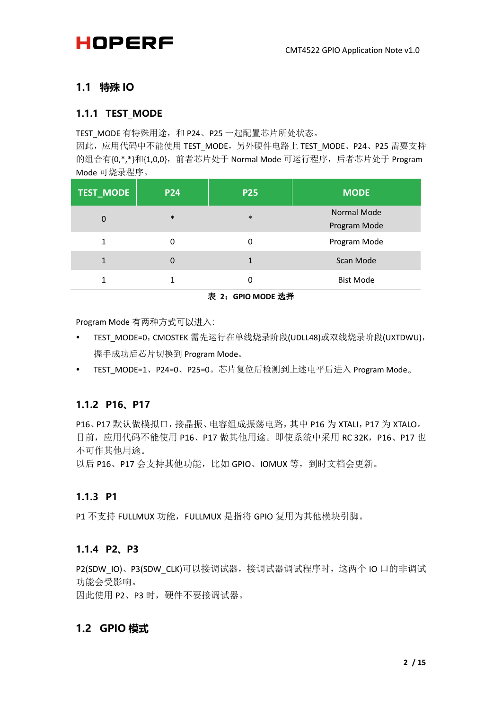### <span id="page-5-0"></span>**1.1 特殊 IO**

#### <span id="page-5-1"></span>**1.1.1 TEST\_MODE**

TEST\_MODE 有特殊用途, 和 P24、P25 一起配置芯片所处状态。

因此,应用代码中不能使用 TEST\_MODE, 另外硬件电路上 TEST\_MODE、P24、P25 需要支持 的组合有{0,\*,\*}和{1,0,0},前者芯片处于 Normal Mode 可运行程序,后者芯片处于 Program Mode 可烧录程序。

| <b>TEST_MODE</b> | <b>P24</b> | <b>P25</b> | <b>MODE</b>                 |
|------------------|------------|------------|-----------------------------|
| $\Omega$         | $\ast$     | $\ast$     | Normal Mode<br>Program Mode |
| 1                | ი          | ი          | Program Mode                |
| 1                |            |            | Scan Mode                   |
| 1                |            | Ω          | <b>Bist Mode</b>            |

表 **2**:**GPIO MODE** 选择

<span id="page-5-6"></span>Program Mode 有两种方式可以进入:

- TEST MODE=0, CMOSTEK 需先运行在单线烧录阶段(UDLL48)或双线烧录阶段(UXTDWU), 握手成功后芯片切换到 Program Mode。
- TEST\_MODE=1、P24=0、P25=0。芯片复位后检测到上述电平后进入 Program Mode。

### <span id="page-5-2"></span>**1.1.2 P16、P17**

P16、P17 默认做模拟口,接晶振、电容组成振荡电路,其中 P16 为 XTALI, P17 为 XTALO。 目前,应用代码不能使用 P16、P17 做其他用途。即使系统中采用 RC 32K, P16、P17 也 不可作其他用途。

以后 P16、P17 会支持其他功能, 比如 GPIO、IOMUX 等, 到时文档会更新。

#### <span id="page-5-3"></span>**1.1.3 P1**

P1 不支持 FULLMUX 功能, FULLMUX 是指将 GPIO 复用为其他模块引脚。

#### <span id="page-5-4"></span>**1.1.4 P2、P3**

P2(SDW\_IO)、P3(SDW\_CLK)可以接调试器,接调试器调试程序时,这两个 IO 口的非调试 功能会受影响。

因此使用 P2、P3 时, 硬件不要接调试器。

### <span id="page-5-5"></span>**1.2 GPIO 模式**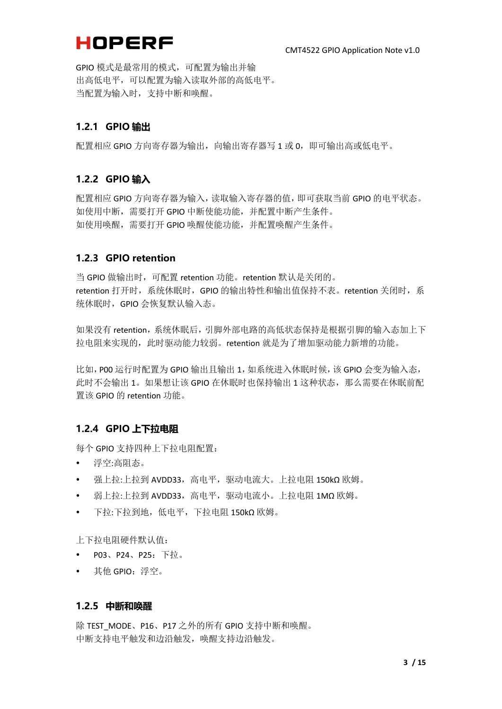GPIO 模式是最常用的模式,可配置为输出并输 出高低电平,可以配置为输入读取外部的高低电平。 当配置为输入时,支持中断和唤醒。

#### <span id="page-6-0"></span>**1.2.1 GPIO 输出**

配置相应 GPIO 方向寄存器为输出, 向输出寄存器写 1 或 0,即可输出高或低电平。

#### <span id="page-6-1"></span>**1.2.2 GPIO 输入**

配置相应 GPIO 方向寄存器为输入,读取输入寄存器的值,即可获取当前 GPIO 的电平状态。 如使用中断,需要打开 GPIO 中断使能功能,并配置中断产生条件。 如使用唤醒,需要打开 GPIO 唤醒使能功能,并配置唤醒产生条件。

#### <span id="page-6-2"></span>**1.2.3 GPIO retention**

当 GPIO 做输出时, 可配置 retention 功能。retention 默认是关闭的。 retention 打开时,系统休眠时, GPIO 的输出特性和输出值保持不表。retention 关闭时, 系 统休眠时,GPIO 会恢复默认输入态。

如果没有 retention,系统休眠后,引脚外部电路的高低状态保持是根据引脚的输入态加上下 拉电阻来实现的,此时驱动能力较弱。retention 就是为了增加驱动能力新增的功能。

比如, P00 运行时配置为 GPIO 输出且输出 1, 如系统讲入休眠时候, 该 GPIO 会变为输入态, 此时不会输出 1。如果想让该 GPIO 在休眠时也保持输出 1 这种状态, 那么需要在休眠前配 置该 GPIO 的 retention 功能。

#### <span id="page-6-3"></span>**1.2.4 GPIO 上下拉电阻**

每个 GPIO 支持四种上下拉电阻配置:

- 浮空:高阻态。
- 强上拉:上拉到 AVDD33,高电平,驱动电流大。上拉电阻 150kΩ 欧姆。
- 弱上拉:上拉到 AVDD33,高电平,驱动电流小。上拉电阻 1MΩ 欧姆。
- 下拉:下拉到地,低电平,下拉电阻 150kΩ 欧姆。

上下拉电阻硬件默认值:

- P03、P24、P25: 下拉。
- 其他 GPIO:浮空。

#### <span id="page-6-4"></span>**1.2.5 中断和唤醒**

除 TEST MODE、P16、P17 之外的所有 GPIO 支持中断和唤醒。 中断支持电平触发和边沿触发,唤醒支持边沿触发。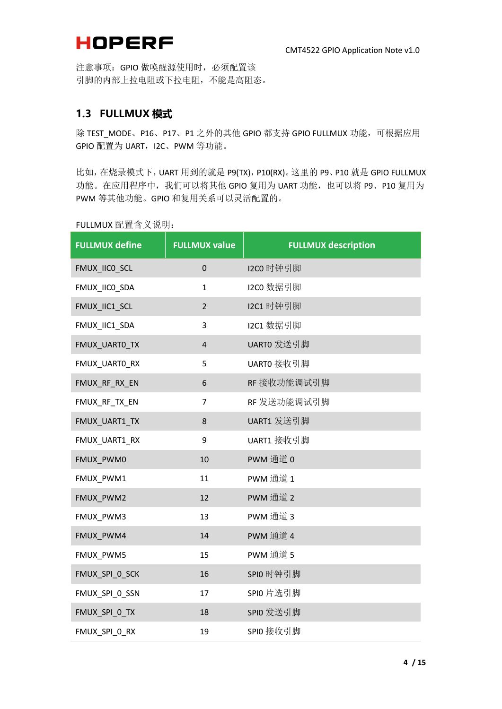注意事项:GPIO 做唤醒源使用时,必须配置该 引脚的内部上拉电阻或下拉电阻,不能是高阻态。

#### <span id="page-7-0"></span>**1.3 FULLMUX 模式**

除 TEST\_MODE、P16、P17、P1 之外的其他 GPIO 都支持 GPIO FULLMUX 功能, 可根据应用 GPIO 配置为 UART, I2C、PWM 等功能。

比如, 在烧录模式下, UART 用到的就是 P9(TX), P10(RX)。这里的 P9、P10 就是 GPIO FULLMUX 功能。在应用程序中,我们可以将其他 GPIO 复用为 UART 功能,也可以将 P9、P10 复用为 PWM 等其他功能。GPIO 和复用关系可以灵活配置的。

| $\overline{\phantom{a}}$ . OLLIVION HULL H $\overline{\phantom{a}}$ ou $\overline{\phantom{a}}$ |                      |                            |
|-------------------------------------------------------------------------------------------------|----------------------|----------------------------|
| <b>FULLMUX define</b>                                                                           | <b>FULLMUX value</b> | <b>FULLMUX description</b> |
| FMUX_IICO_SCL                                                                                   | $\mathbf 0$          | 12C0 时钟引脚                  |
| FMUX_IICO_SDA                                                                                   | $\mathbf{1}$         | 12C0 数据引脚                  |
| FMUX_IIC1_SCL                                                                                   | $\mathbf 2$          | 12C1 时钟引脚                  |
| FMUX_IIC1_SDA                                                                                   | 3                    | 12C1 数据引脚                  |
| FMUX_UARTO_TX                                                                                   | $\pmb{4}$            | UARTO 发送引脚                 |
| FMUX_UARTO_RX                                                                                   | 5                    | UARTO 接收引脚                 |
| FMUX_RF_RX_EN                                                                                   | 6                    | RF 接收功能调试引脚                |
| FMUX_RF_TX_EN                                                                                   | $\overline{7}$       | RF 发送功能调试引脚                |
| FMUX_UART1_TX                                                                                   | 8                    | UART1 发送引脚                 |
| FMUX_UART1_RX                                                                                   | 9                    | UART1 接收引脚                 |
| FMUX PWM0                                                                                       | 10                   | PWM 通道 0                   |
| FMUX_PWM1                                                                                       | 11                   | PWM 通道 1                   |
| FMUX_PWM2                                                                                       | 12                   | PWM 通道 2                   |
| FMUX_PWM3                                                                                       | 13                   | PWM 通道 3                   |
| FMUX_PWM4                                                                                       | 14                   | PWM 通道 4                   |
| FMUX_PWM5                                                                                       | 15                   | PWM 通道 5                   |
| FMUX_SPI_0_SCK                                                                                  | 16                   | SPIO 时钟引脚                  |
| FMUX_SPI_0_SSN                                                                                  | 17                   | SPIO 片选引脚                  |
| FMUX_SPI_0_TX                                                                                   | 18                   | SPIO 发送引脚                  |
| FMUX SPI 0 RX                                                                                   | 19                   | SPIO 接收引脚                  |

FULLMUX 配置含义说明: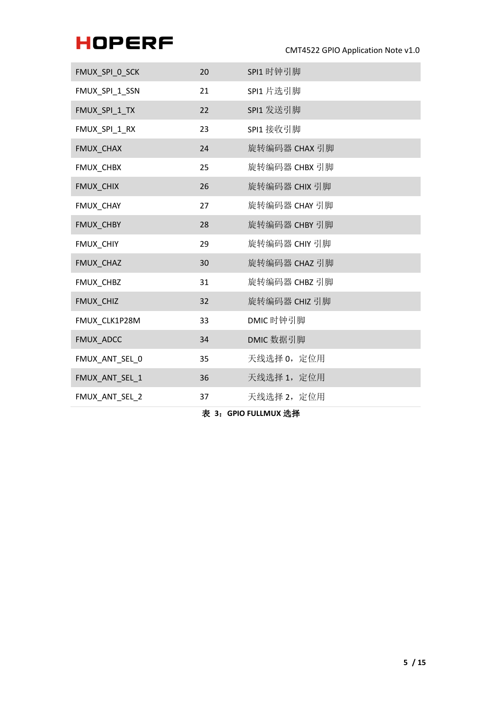CMT4522 GPIO Application Note v1.0

| FMUX_SPI_0_SCK | 20 | SPI1 时钟引脚     |
|----------------|----|---------------|
| FMUX_SPI_1_SSN | 21 | SPI1 片选引脚     |
| FMUX_SPI_1_TX  | 22 | SPI1 发送引脚     |
| FMUX_SPI_1_RX  | 23 | SPI1 接收引脚     |
| FMUX_CHAX      | 24 | 旋转编码器 CHAX 引脚 |
| FMUX_CHBX      | 25 | 旋转编码器 CHBX 引脚 |
| FMUX_CHIX      | 26 | 旋转编码器 CHIX 引脚 |
| FMUX CHAY      | 27 | 旋转编码器 CHAY 引脚 |
| FMUX_CHBY      | 28 | 旋转编码器 CHBY 引脚 |
| FMUX CHIY      | 29 | 旋转编码器 CHIY 引脚 |
| FMUX_CHAZ      | 30 | 旋转编码器 CHAZ 引脚 |
| FMUX_CHBZ      | 31 | 旋转编码器 CHBZ 引脚 |
| FMUX_CHIZ      | 32 | 旋转编码器 CHIZ 引脚 |
| FMUX_CLK1P28M  | 33 | DMIC 时钟引脚     |
| FMUX_ADCC      | 34 | DMIC 数据引脚     |
| FMUX_ANT_SEL_0 | 35 | 天线选择 0, 定位用   |
| FMUX_ANT_SEL_1 | 36 | 天线选择 1, 定位用   |
| FMUX_ANT_SEL_2 | 37 | 天线选择 2, 定位用   |

<span id="page-8-0"></span>表 **3**:**GPIO FULLMUX** 选择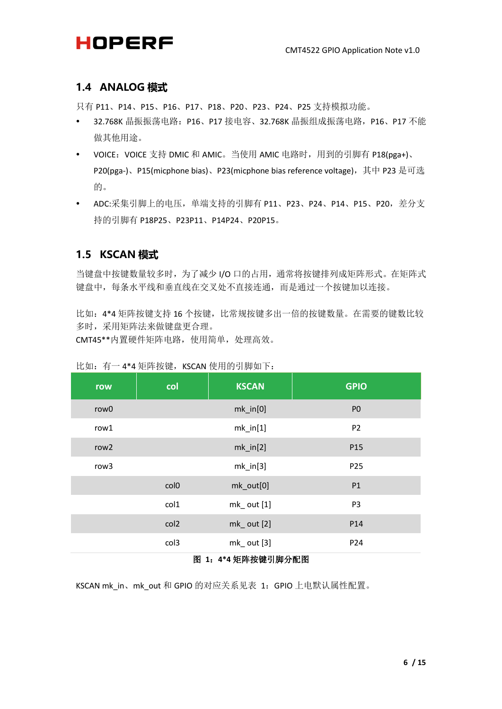### <span id="page-9-0"></span>**1.4 ANALOG 模式**

只有 P11、P14、P15、P16、P17、P18、P20、P23、P24、P25 支持模拟功能。

- 32.768K 晶振振荡电路:P16、P17 接电容、32.768K 晶振组成振荡电路,P16、P17 不能 做其他用途。
- VOICE: VOICE 支持 DMIC 和 AMIC。当使用 AMIC 电路时, 用到的引脚有 P18(pga+)、 P20(pga-)、P15(micphone bias)、P23(micphone bias reference voltage), 其中 P23 是可选 的。
- ADC:采集引脚上的电压, 单端支持的引脚有 P11、P23、P24、P14、P15、P20, 差分支 持的引脚有 P18P25、P23P11、P14P24、P20P15。

### <span id="page-9-1"></span>**1.5 KSCAN 模式**

当键盘中按键数量较多时,为了减少 I/O 口的占用,通常将按键排列成矩阵形式。在矩阵式 键盘中,每条水平线和垂直线在交叉处不直接连通,而是通过一个按键加以连接。

比如:4\*4 矩阵按键支持 16 个按键,比常规按键多出一倍的按键数量。在需要的键数比较 多时,采用矩阵法来做键盘更合理。

CMT45\*\*内置硬件矩阵电路,使用简单,处理高效。

| row              | col              | <b>KSCAN</b>                  | <b>GPIO</b>     |
|------------------|------------------|-------------------------------|-----------------|
| row <sub>0</sub> |                  | $mk_in[0]$                    | P <sub>0</sub>  |
| row1             |                  | $mk_in[1]$<br>P <sub>2</sub>  |                 |
| row <sub>2</sub> |                  | $mk_in[2]$<br>P <sub>15</sub> |                 |
| row <sub>3</sub> |                  | $mk_in[3]$                    | P <sub>25</sub> |
|                  | col <sub>0</sub> | mk_out[0]                     | P1              |
|                  | col1             | $mk_$ out $[1]$               | P <sub>3</sub>  |
|                  | col2             | $mk_$ out $[2]$               | P14             |
|                  | col3             | $mk_$ out $[3]$               | P24             |

#### 比如: 有一 4\*4 矩阵按键, KSCAN 使用的引脚如下:

#### 图 **1**:**4\*4** 矩阵按键引脚分配图

<span id="page-9-2"></span>KSCAN mk\_in、mk\_out 和 GPIO 的对应关系见表 1: GPIO 上电默认属性配置。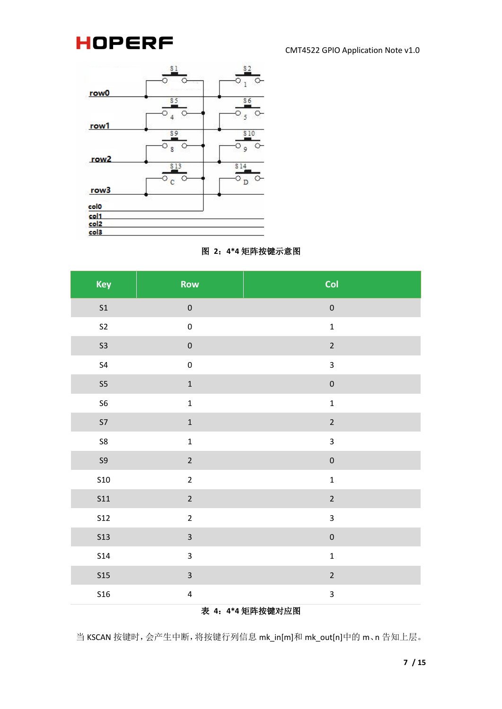#### CMT4522 GPIO Application Note v1.0



#### 图 **2**:**4\*4** 矩阵按键示意图

<span id="page-10-0"></span>

| Key              | Row                     | Col                     |  |
|------------------|-------------------------|-------------------------|--|
| S <sub>1</sub>   | $\pmb{0}$               | $\mathbf 0$             |  |
| S <sub>2</sub>   | $\pmb{0}$               | $\mathbf 1$             |  |
| S <sub>3</sub>   | $\pmb{0}$               | $\overline{2}$          |  |
| S <sub>4</sub>   | $\pmb{0}$               | 3                       |  |
| S <sub>5</sub>   | $\mathbf 1$             | $\pmb{0}$               |  |
| S <sub>6</sub>   | $\mathbf 1$             | $\mathbf 1$             |  |
| <b>S7</b>        | $\mathbf 1$             | $\overline{2}$          |  |
| S8               | $\mathbf 1$             | $\mathbf{3}$            |  |
| $\mathsf{S}9$    | $\overline{2}$          | $\mathbf 0$             |  |
| <b>S10</b>       | $\overline{2}$          | $\mathbf{1}$            |  |
| <b>S11</b>       | $\overline{2}$          | $\overline{2}$          |  |
| <b>S12</b>       | $\overline{2}$          | 3                       |  |
| <b>S13</b>       | $\overline{\mathbf{3}}$ | $\mathbf 0$             |  |
| <b>S14</b>       | $\overline{\mathbf{3}}$ | $\mathbf 1$             |  |
| <b>S15</b>       | $\overline{\mathbf{3}}$ | $\overline{2}$          |  |
| <b>S16</b>       | $\pmb{4}$               | $\overline{\mathbf{3}}$ |  |
| 表 4: 4*4 矩阵按键对应图 |                         |                         |  |

<span id="page-10-1"></span>当 KSCAN 按键时,会产生中断,将按键行列信息 mk\_in[m]和 mk\_out[n]中的 m、n 告知上层。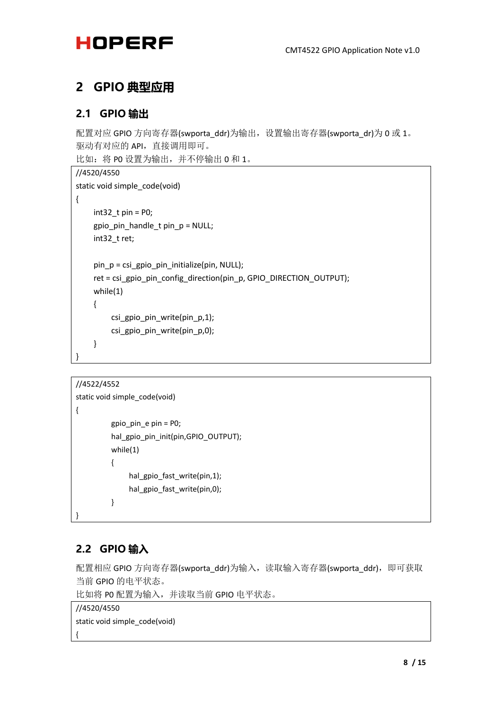### <span id="page-11-0"></span>**2 GPIO 典型应用**

#### <span id="page-11-1"></span>**2.1 GPIO 输出**

配置对应 GPIO 方向寄存器(swporta\_ddr)为输出, 设置输出寄存器(swporta\_dr)为 0 或 1。 驱动有对应的 API,直接调用即可。 比如: 将 PO 设置为输出, 并不停输出 O 和 1。

```
//4520/4550
static void simple_code(void)
{
     int32 t pin = P0;
    gpio_pin_handle_t pin_p = NULL;
    int32_t ret;
     pin p = csi gpio pin initialize(pin, NULL);
     ret = csi_gpio_pin_config_direction(pin_p, GPIO_DIRECTION_OUTPUT);
    while(1)
     {
         csi_gpio_pin_write(pin_p,1);
         csi_gpio_pin_write(pin_p,0);
     }
}
```
#### //4522/4552

```
static void simple_code(void)
{
          gpio_pin_e pin = P0;
          hal_gpio_pin_init(pin,GPIO_OUTPUT);
          while(1)
          {
               hal gpio fast write(pin,1);
               hal gpio fast write(pin,0);
          }
```
### <span id="page-11-2"></span>**2.2 GPIO 输入**

}

配置相应 GPIO 方向寄存器(swporta\_ddr)为输入,读取输入寄存器(swporta\_ddr),即可获取 当前 GPIO 的电平状态。

比如将 P0 配置为输入,并读取当前 GPIO 电平状态。

//4520/4550 static void simple\_code(void) {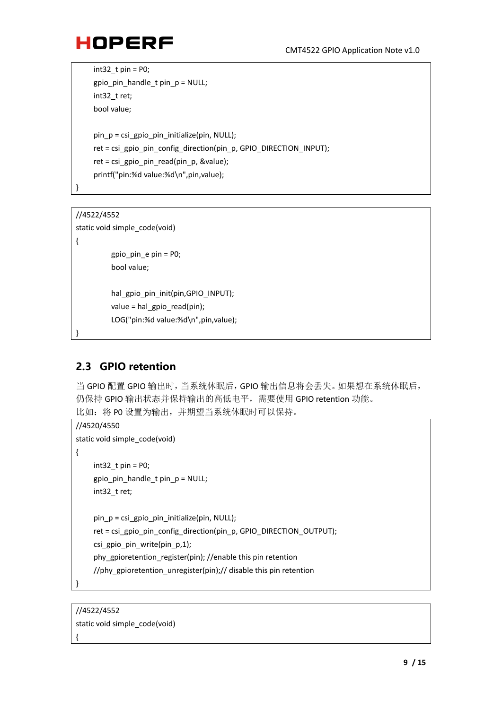$int32$  t pin = P0; gpio pin handle  $t$  pin  $p = NULL$ ; int32\_t ret; bool value; pin  $p = csi$  gpio pin initialize(pin, NULL); ret = csi\_gpio\_pin\_config\_direction(pin\_p, GPIO\_DIRECTION\_INPUT); ret = csi\_gpio\_pin\_read(pin\_p, &value); printf("pin:%d value:%d\n",pin,value);

#### //4522/4552

}

{

}

static void simple\_code(void)

```
gpio_pin_e pin = P0;
bool value;
```
hal\_gpio\_pin\_init(pin,GPIO\_INPUT); value = hal\_gpio\_read(pin); LOG("pin:%d value:%d\n",pin,value);

### <span id="page-12-0"></span>**2.3 GPIO retention**

当 GPIO 配置 GPIO 输出时,当系统休眠后,GPIO 输出信息将会丢失。如果想在系统休眠后, 仍保持 GPIO 输出状态并保持输出的高低电平,需要使用 GPIO retention 功能。 比如:将 P0 设置为输出,并期望当系统休眠时可以保持。

```
//4520/4550
static void simple_code(void)
{
     int32 t pin = P0;
     gpio pin handle t pin p = NULL;
     int32_t ret;
     pin_p = csi_gpio_pin_initialize(pin, NULL);
     ret = csi_gpio_pin_config_direction(pin_p, GPIO_DIRECTION_OUTPUT);
     csi_gpio_pin_write(pin_p,1);
     phy_gpioretention_register(pin); //enable this pin retention
     //phy_gpioretention_unregister(pin);// disable this pin retention
```
}

{

//4522/4552 static void simple\_code(void)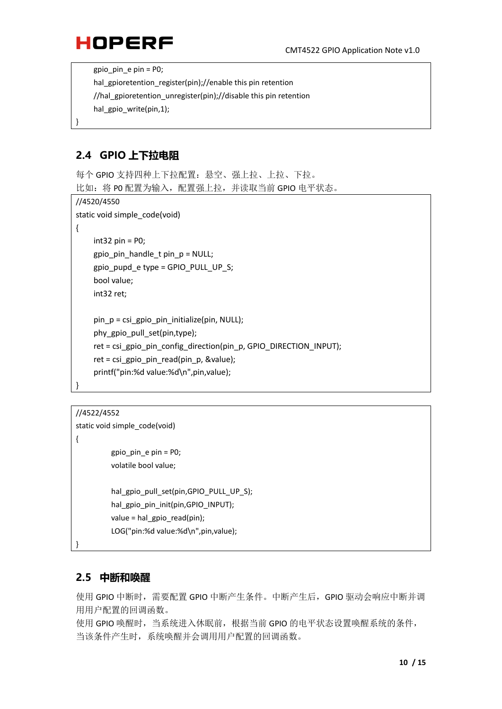gpio\_pin\_e pin = P0;

hal gpioretention register(pin);//enable this pin retention

//hal\_gpioretention\_unregister(pin);//disable this pin retention

hal\_gpio\_write(pin,1);

### <span id="page-13-0"></span>**2.4 GPIO 上下拉电阻**

}

每个 GPIO 支持四种上下拉配置:悬空、强上拉、上拉、下拉。 比如: 将 PO 配置为输入, 配置强上拉, 并读取当前 GPIO 电平状态。

```
//4520/4550
static void simple_code(void)
{
    int32 pin = P0:
    gpio pin handle t pin p = NULL;
    gpio pupd e type = GPIO PULL UP S;
    bool value;
    int32 ret;
    pin p = csi gpio pin initialize(pin, NULL);
    phy_gpio_pull_set(pin,type);
    ret = csi_gpio_pin_config_direction(pin_p, GPIO_DIRECTION_INPUT);
    ret = csi_gpio_pin_read(pin_p, &value);
    printf("pin:%d value:%d\n",pin,value);
}
```
//4522/4552

```
static void simple_code(void)
{
          gpio_pin_e pin = P0;
          volatile bool value;
          hal_gpio_pull_set(pin,GPIO_PULL_UP_S);
          hal_gpio_pin_init(pin,GPIO_INPUT);
          value = hal_gpio_read(pin);
          LOG("pin:%d value:%d\n",pin,value);
}
```
#### <span id="page-13-1"></span>**2.5 中断和唤醒**

使用 GPIO 中断时,需要配置 GPIO 中断产生条件。中断产生后,GPIO 驱动会响应中断并调 用用户配置的回调函数。

使用 GPIO 唤醒时,当系统进入休眠前,根据当前 GPIO 的电平状态设置唤醒系统的条件, 当该条件产生时,系统唤醒并会调用用户配置的回调函数。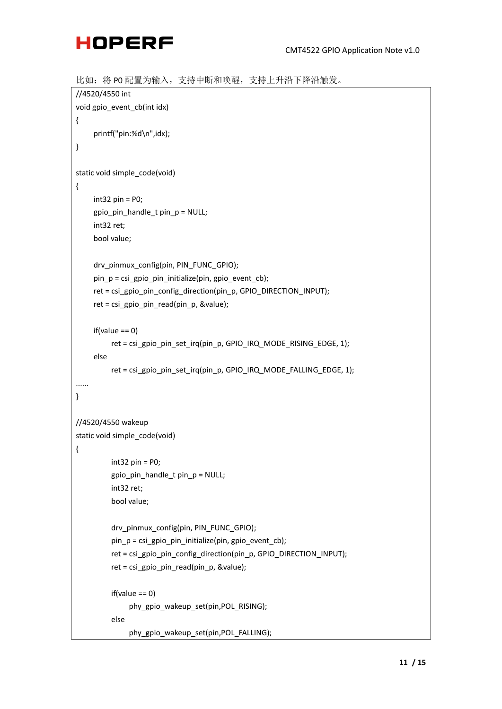

```
比如:将 P0 配置为输入,支持中断和唤醒,支持上升沿下降沿触发。
//4520/4550 int
void gpio_event_cb(int idx)
{
     printf("pin:%d\n",idx);
}
static void simple_code(void)
{
    int32 pin = P0;
     gpio_pin_handle_t pin_p = NULL;
    int32 ret;
     bool value;
    drv_pinmux_config(pin, PIN_FUNC_GPIO);
     pin_p = csi_gpio_pin_initialize(pin, gpio_event_cb);
     ret = csi_gpio_pin_config_direction(pin_p, GPIO_DIRECTION_INPUT);
     ret = csi gpio pin read(pin p, &value);
     if(value == 0)ret = csi_gpio_pin_set_irq(pin_p, GPIO_IRQ_MODE_RISING_EDGE, 1);
    else
         ret = csi_gpio_pin_set_irq(pin_p, GPIO_IRQ_MODE_FALLING_EDGE, 1);
......
}
//4520/4550 wakeup
static void simple_code(void)
{
         int32 pin = P0;
         gpio_pin_handle_t pin_p = NULL;
         int32 ret;
         bool value;
         drv_pinmux_config(pin, PIN_FUNC_GPIO);
         pin p = csi gpio pin initialize(pin, gpio event cb);
         ret = csi_gpio_pin_config_direction(pin_p, GPIO_DIRECTION_INPUT);
         ret = csi_gpio_pin_read(pin_p, &value);
         if(value == 0)phy_gpio_wakeup_set(pin,POL_RISING);
         else
```

```
phy_gpio_wakeup_set(pin,POL_FALLING);
```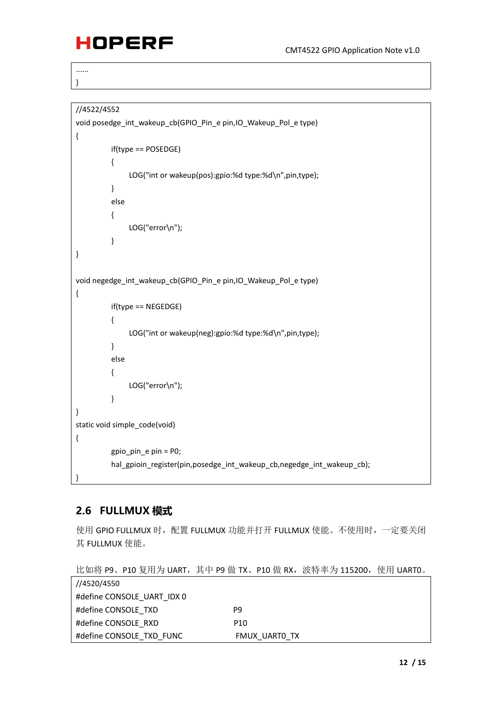...... }

```
//4522/4552
void posedge_int_wakeup_cb(GPIO_Pin_e pin,IO_Wakeup_Pol_e type)
{
         if(type == POSEDGE)
         {
              LOG("int or wakeup(pos):gpio:%d type:%d\n",pin,type);
         }
         else
         {
              LOG("error\n");
         }
}
void negedge_int_wakeup_cb(GPIO_Pin_e pin,IO_Wakeup_Pol_e type)
{
         if(type == NEGEDGE)
         {
              LOG("int or wakeup(neg):gpio:%d type:%d\n",pin,type);
         }
         else
         {
              LOG("error\n");
         }
}
static void simple_code(void)
{
         gpio_pin_e pin = P0;
         hal_gpioin_register(pin,posedge_int_wakeup_cb,negedge_int_wakeup_cb);
}
```
### <span id="page-15-0"></span>**2.6 FULLMUX 模式**

使用 GPIO FULLMUX 时,配置 FULLMUX 功能并打开 FULLMUX 使能。不使用时,一定要关闭 其 FULLMUX 使能。

比如将 P9、P10 复用为 UART, 其中 P9 做 TX、P10 做 RX, 波特率为 115200, 使用 UART0。

| //4520/4550                |                 |
|----------------------------|-----------------|
| #define CONSOLE UART IDX 0 |                 |
| #define CONSOLE TXD        | P9              |
| #define CONSOLE RXD        | P <sub>10</sub> |
| #define CONSOLE TXD FUNC   | FMUX UARTO TX   |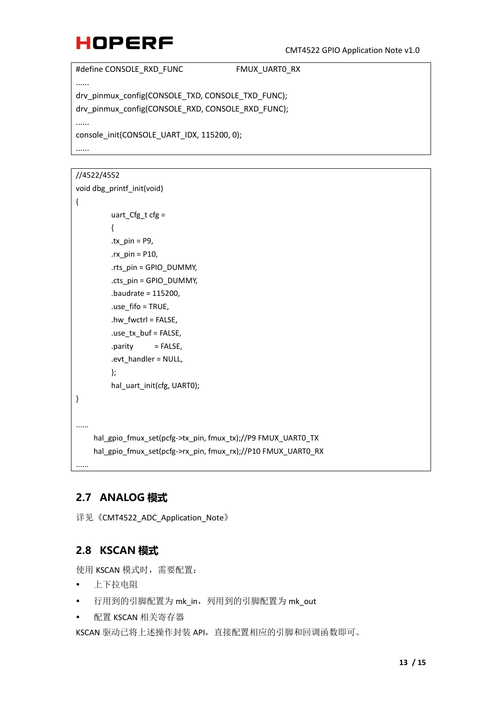```
#define CONSOLE_RXD_FUNC FMUX_UART0_RX
......
drv_pinmux_config(CONSOLE_TXD, CONSOLE_TXD_FUNC);
drv_pinmux_config(CONSOLE_RXD, CONSOLE_RXD_FUNC);
......
console_init(CONSOLE_UART_IDX, 115200, 0);
......
```
#### //4522/4552

{

}

......

......

```
void dbg_printf_init(void)
          uart_Cfg_t cfg =
          {
          .tx pin = P9,
          rx pin = P10,
          .rts_pin = GPIO_DUMMY,
          .cts_pin = GPIO_DUMMY,
          .baudrate = 115200,
          .use_fifo = TRUE,
          .hw_fwctrl = FALSE,
          .use_tx_buf = FALSE,
          .parity = FALSE,
          .evt_handler = NULL,
          };
          hal_uart_init(cfg, UART0);
```
hal\_gpio\_fmux\_set(pcfg->tx\_pin, fmux\_tx);//P9 FMUX\_UART0\_TX hal\_gpio\_fmux\_set(pcfg->rx\_pin, fmux\_rx);//P10 FMUX\_UART0\_RX

### <span id="page-16-0"></span>**2.7 ANALOG 模式**

详见《CMT4522\_ADC\_Application\_Note》

### <span id="page-16-1"></span>**2.8 KSCAN 模式**

使用 KSCAN 模式时, 需要配置:

- 上下拉电阻
- 行用到的引脚配置为 mk\_in, 列用到的引脚配置为 mk\_out
- 配置 KSCAN 相关寄存器

KSCAN 驱动已将上述操作封装 API,直接配置相应的引脚和回调函数即可。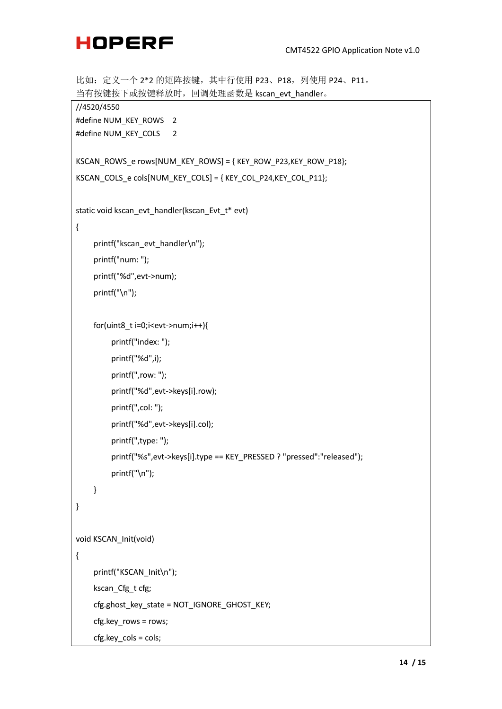```
比如: 定义一个 2*2 的矩阵按键, 其中行使用 P23、P18, 列使用 P24、P11。
当有按键按下或按键释放时,回调处理函数是 kscan_evt_handler。
//4520/4550
#define NUM_KEY_ROWS 2
#define NUM_KEY_COLS 2
KSCAN_ROWS_e rows[NUM_KEY_ROWS] = { KEY_ROW_P23,KEY_ROW_P18};
KSCAN_COLS_e cols[NUM_KEY_COLS] = { KEY_COL_P24,KEY_COL_P11};
static void kscan_evt_handler(kscan_Evt_t* evt)
{
```
printf("kscan\_evt\_handler\n"); printf("num: "); printf("%d",evt->num); printf("\n");

```
for(uint8_t i=0;i<evt->num;i++){
```

```
printf("index: ");
```
- printf("%d",i);
- printf(",row: ");
- printf("%d",evt->keys[i].row);
- printf(",col: ");
- printf("%d",evt->keys[i].col);
- printf(",type: ");
- printf("%s",evt->keys[i].type == KEY\_PRESSED ? "pressed":"released");

```
printf("\n");
```

```
void KSCAN_Init(void)
```
}

### {

}

printf("KSCAN\_Init\n"); kscan\_Cfg\_t cfg; cfg.ghost\_key\_state = NOT\_IGNORE\_GHOST\_KEY; cfg.key\_rows = rows; cfg.key\_cols = cols;